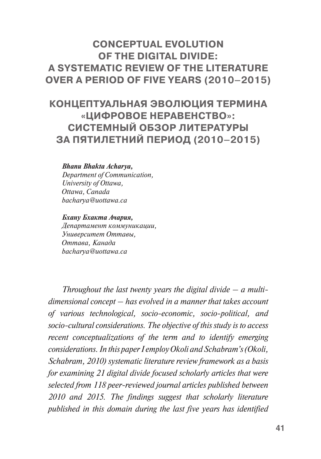# **CONCEPTUAL EVOLUTION OF THE DIGITAL DIVIDE: A SYSTEMATIC REVIEW OF THE LITERATURE OVER A PERIOD OF FIVE YEARS (2010–2015)**

# **КОНЦЕПТУАЛЬНАЯ ЭВОЛЮЦИЯ ТЕРМИНА «ЦИФРОВОЕ НЕРАВЕНСТВО»: СИСТЕМНЫЙ ОБЗОР ЛИТЕРАТУРЫ ЗА ПЯТИЛЕТНИЙ ПЕРИОД (2010–2015)**

#### *Bhanu Bhakta Acharya,*

*Department of Communication, University of Ottawa, Ottawa, Canada bacharya@uottawa.ca*

#### *Бхану Бхакта Ачария,*

*Департамент коммуникации, Университет Оттавы, Оттава, Канада bacharya@uottawa.ca*

*Throughout the last twenty years the digital divide – a multidimensional concept – has evolved in a manner that takes account of various technological, socio-economic, socio-political, and socio-cultural considerations. The objective of this study is to access recent conceptualizations of the term and to identify emerging considerations. In this paper I employ Okoli and Schabram's (Okoli, Schabram, 2010) systematic literature review framework as a basis for examining 21 digital divide focused scholarly articles that were selected from 118 peer-reviewed journal articles published between 2010 and 2015. The findings suggest that scholarly literature published in this domain during the last five years has identified*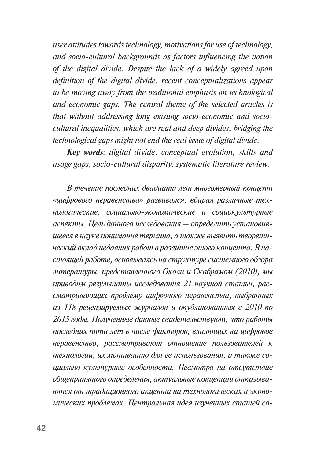*user attitudes towards technology, motivations for use of technology, and socio-cultural backgrounds as factors influencing the notion of the digital divide. Despite the lack of a widely agreed upon definition of the digital divide, recent conceptualizations appear to be moving away from the traditional emphasis on technological and economic gaps. The central theme of the selected articles is that without addressing long existing socio-economic and sociocultural inequalities, which are real and deep divides, bridging the technological gaps might not end the real issue of digital divide.* 

*Key words: digital divide, conceptual evolution, skills and usage gaps, socio-cultural disparity, systematic literature review.*

*В течение последних двадцати лет многомерный концепт «цифрового неравенства» развивался, вбирая различные технологические, социально-экономические и социокультурные аспекты. Цель данного исследования – определить установившееся в науке понимание термина, а также выявить теоретический вклад недавних работ в развитие этого концепта. В настоящей работе, основываясь на структуре системного обзора литературы, представленного Околи и Скабрамом (2010), мы приводим результаты исследования 21 научной статьи, рассматривающих проблему цифрового неравенства, выбранных из 118 рецензируемых журналов и опубликованных с 2010 по 2015 годы. Полученные данные свидетельствуют, что работы последних пяти лет в числе факторов, влияющих на цифровое неравенство, рассматривают отношение пользователей к технологии, их мотивацию для ее использования, а также социально-культурные особенности. Несмотря на отсутствие общепринятого определения, актуальные концепции отказываются от традиционного акцента на технологических и экономических проблемах. Центральная идея изученных статей со-*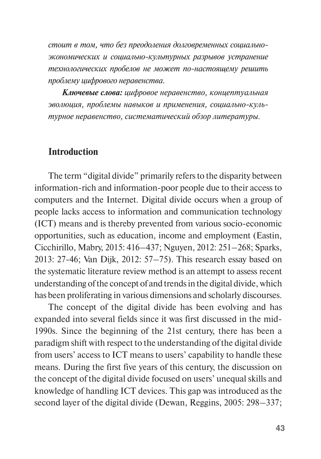*стоит в том, что без преодоления долговременных социальноэкономических и социально-культурных разрывов устранение технологических пробелов не может по-настоящему решить проблему цифрового неравенства.* 

*Ключевые слова: цифровое неравенство, концептуальная эволюция, проблемы навыков и применения, социально-культурное неравенство, систематический обзор литературы.* 

# **Introduction**

The term "digital divide" primarily refers to the disparity between information-rich and information-poor people due to their access to computers and the Internet. Digital divide occurs when a group of people lacks access to information and communication technology (ICT) means and is thereby prevented from various socio-economic opportunities, such as education, income and employment (Eastin, Cicchirillo, Mabry, 2015: 416–437; Nguyen, 2012: 251–268; Sparks, 2013: 27-46; Van Dijk, 2012: 57–75). This research essay based on the systematic literature review method is an attempt to assess recent understanding of the concept of and trends in the digital divide, which has been proliferating in various dimensions and scholarly discourses.

The concept of the digital divide has been evolving and has expanded into several fields since it was first discussed in the mid-1990s. Since the beginning of the 21st century, there has been a paradigm shift with respect to the understanding of the digital divide from users' access to ICT means to users' capability to handle these means. During the first five years of this century, the discussion on the concept of the digital divide focused on users' unequal skills and knowledge of handling ICT devices. This gap was introduced as the second layer of the digital divide (Dewan, Reggins, 2005: 298–337;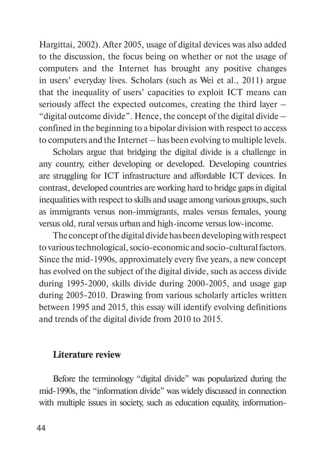Hargittai, 2002). After 2005, usage of digital devices was also added to the discussion, the focus being on whether or not the usage of computers and the Internet has brought any positive changes in users' everyday lives. Scholars (such as Wei et al., 2011) argue that the inequality of users' capacities to exploit ICT means can seriously affect the expected outcomes, creating the third layer – "digital outcome divide". Hence, the concept of the digital divide – confined in the beginning to a bipolar division with respect to access to computers and the Internet – has been evolving to multiple levels.

Scholars argue that bridging the digital divide is a challenge in any country, either developing or developed. Developing countries are struggling for ICT infrastructure and affordable ICT devices. In contrast, developed countries are working hard to bridge gaps in digital inequalities with respect to skills and usage among various groups, such as immigrants versus non-immigrants, males versus females, young versus old, rural versus urban and high-income versus low-income.

The concept of the digital divide has been developing with respect to various technological, socio-economic and socio-cultural factors. Since the mid-1990s, approximately every five years, a new concept has evolved on the subject of the digital divide, such as access divide during 1995-2000, skills divide during 2000-2005, and usage gap during 2005-2010. Drawing from various scholarly articles written between 1995 and 2015, this essay will identify evolving definitions and trends of the digital divide from 2010 to 2015.

### **Literature review**

Before the terminology "digital divide" was popularized during the mid-1990s, the "information divide" was widely discussed in connection with multiple issues in society, such as education equality, information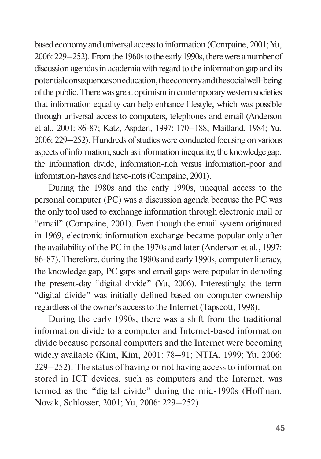based economy and universal access to information (Compaine, 2001; Yu, 2006: 229–252).From the 1960s to the early 1990s, there were a number of discussion agendas in academia with regard to the information gap and its potential consequences on education, the economy and the social well-being of the public. There was great optimism in contemporary western societies that information equality can help enhance lifestyle, which was possible through universal access to computers, telephones and email (Anderson et al., 2001: 86-87; Katz, Aspden, 1997: 170–188; Maitland, 1984; Yu, 2006: 229–252). Hundreds of studies were conducted focusing on various aspects of information, such as information inequality, the knowledge gap, the information divide, information-rich versus information-poor and information-haves and have-nots (Compaine, 2001).

During the 1980s and the early 1990s, unequal access to the personal computer (PC) was a discussion agenda because the PC was the only tool used to exchange information through electronic mail or "email" (Compaine, 2001). Even though the email system originated in 1969, electronic information exchange became popular only after the availability of the PC in the 1970s and later (Anderson et al., 1997: 86-87). Therefore, during the 1980s and early 1990s, computer literacy, the knowledge gap, PC gaps and email gaps were popular in denoting the present-day "digital divide" (Yu, 2006). Interestingly, the term "digital divide" was initially defined based on computer ownership regardless of the owner's access to the Internet (Tapscott, 1998).

During the early 1990s, there was a shift from the traditional information divide to a computer and Internet-based information divide because personal computers and the Internet were becoming widely available (Kim, Kim, 2001: 78–91; NTIA, 1999; Yu, 2006: 229–252). The status of having or not having access to information stored in ICT devices, such as computers and the Internet, was termed as the "digital divide" during the mid-1990s (Hoffman, Novak, Schlosser, 2001; Yu, 2006: 229–252).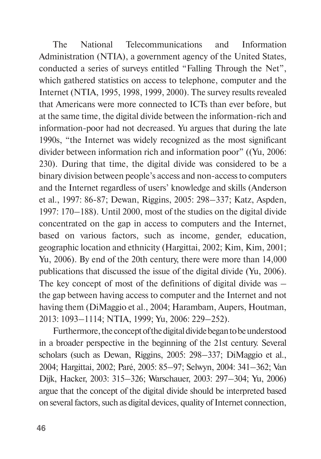The National Telecommunications and Information Administration (NTIA), a government agency of the United States, conducted a series of surveys entitled "Falling Through the Net", which gathered statistics on access to telephone, computer and the Internet (NTIA, 1995, 1998, 1999, 2000). The survey results revealed that Americans were more connected to ICTs than ever before, but at the same time, the digital divide between the information-rich and information-poor had not decreased. Yu argues that during the late 1990s, "the Internet was widely recognized as the most significant divider between information rich and information poor" ((Yu, 2006: 230). During that time, the digital divide was considered to be a binary division between people's access and non-access to computers and the Internet regardless of users' knowledge and skills (Anderson et al., 1997: 86-87; Dewan, Riggins, 2005: 298–337; Katz, Aspden, 1997: 170–188). Until 2000, most of the studies on the digital divide concentrated on the gap in access to computers and the Internet, based on various factors, such as income, gender, education, geographic location and ethnicity (Hargittai, 2002; Kim, Kim, 2001; Yu, 2006). By end of the 20th century, there were more than 14,000 publications that discussed the issue of the digital divide (Yu, 2006). The key concept of most of the definitions of digital divide was – the gap between having access to computer and the Internet and not having them (DiMaggio et al., 2004; Harambam, Aupers, Houtman, 2013: 1093–1114; NTIA, 1999; Yu, 2006: 229–252).

Furthermore, the concept of the digital divide began to be understood in a broader perspective in the beginning of the 21st century. Several scholars (such as Dewan, Riggins, 2005: 298–337; DiMaggio et al., 2004; Hargittai, 2002; Paré, 2005: 85–97; Selwyn, 2004: 341–362; Van Dijk, Hacker, 2003: 315–326; Warschauer, 2003: 297–304; Yu, 2006) argue that the concept of the digital divide should be interpreted based on several factors, such as digital devices, quality of Internet connection,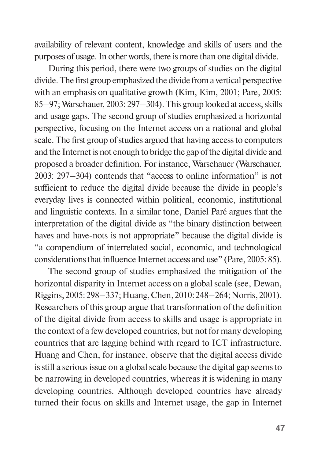availability of relevant content, knowledge and skills of users and the purposes of usage. In other words, there is more than one digital divide.

During this period, there were two groups of studies on the digital divide. The first group emphasized the divide from a vertical perspective with an emphasis on qualitative growth (Kim, Kim, 2001; Pare, 2005: 85–97; Warschauer, 2003: 297–304). This group looked at access, skills and usage gaps. The second group of studies emphasized a horizontal perspective, focusing on the Internet access on a national and global scale. The first group of studies argued that having access to computers and the Internet is not enough to bridge the gap of the digital divide and proposed a broader definition. For instance, Warschauer (Warschauer, 2003: 297–304) contends that "access to online information" is not sufficient to reduce the digital divide because the divide in people's everyday lives is connected within political, economic, institutional and linguistic contexts. In a similar tone, Daniel Paré argues that the interpretation of the digital divide as "the binary distinction between haves and have-nots is not appropriate" because the digital divide is "a compendium of interrelated social, economic, and technological considerations that influence Internet access and use" (Pare, 2005: 85).

The second group of studies emphasized the mitigation of the horizontal disparity in Internet access on a global scale (see, Dewan, Riggins, 2005: 298–337; Huang, Chen, 2010: 248–264; Norris, 2001). Researchers of this group argue that transformation of the definition of the digital divide from access to skills and usage is appropriate in the context of a few developed countries, but not for many developing countries that are lagging behind with regard to ICT infrastructure. Huang and Chen, for instance, observe that the digital access divide is still a serious issue on a global scale because the digital gap seems to be narrowing in developed countries, whereas it is widening in many developing countries. Although developed countries have already turned their focus on skills and Internet usage, the gap in Internet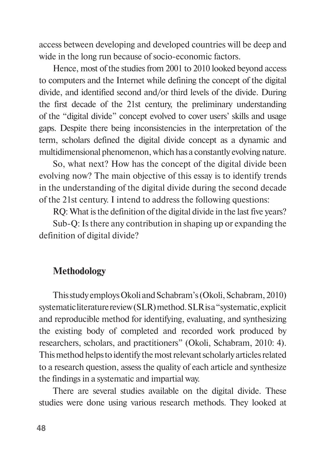access between developing and developed countries will be deep and wide in the long run because of socio-economic factors.

Hence, most of the studies from 2001 to 2010 looked beyond access to computers and the Internet while defining the concept of the digital divide, and identified second and/or third levels of the divide. During the first decade of the 21st century, the preliminary understanding of the "digital divide" concept evolved to cover users' skills and usage gaps. Despite there being inconsistencies in the interpretation of the term, scholars defined the digital divide concept as a dynamic and multidimensional phenomenon, which has a constantly evolving nature.

So, what next? How has the concept of the digital divide been evolving now? The main objective of this essay is to identify trends in the understanding of the digital divide during the second decade of the 21st century. I intend to address the following questions:

RQ: What is the definition of the digital divide in the last five years?

Sub-Q: Is there any contribution in shaping up or expanding the definition of digital divide?

# **Methodology**

This study employs Okoli and Schabram's (Okoli, Schabram, 2010) systematic literature review (SLR) method. SLR is a "systematic, explicit and reproducible method for identifying, evaluating, and synthesizing the existing body of completed and recorded work produced by researchers, scholars, and practitioners" (Okoli, Schabram, 2010: 4). This method helps to identify the most relevant scholarly articles related to a research question, assess the quality of each article and synthesize the findings in a systematic and impartial way.

There are several studies available on the digital divide. These studies were done using various research methods. They looked at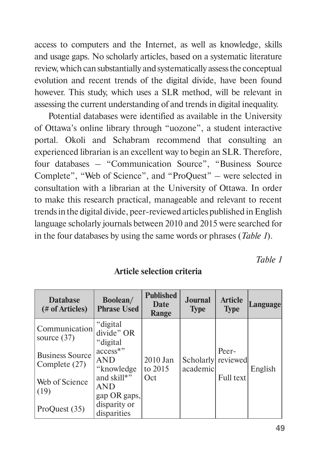access to computers and the Internet, as well as knowledge, skills and usage gaps. No scholarly articles, based on a systematic literature review, which can substantially and systematically assess the conceptual evolution and recent trends of the digital divide, have been found however. This study, which uses a SLR method, will be relevant in assessing the current understanding of and trends in digital inequality.

Potential databases were identified as available in the University of Ottawa's online library through "uozone", a student interactive portal. Okoli and Schabram recommend that consulting an experienced librarian is an excellent way to begin an SLR. Therefore, four databases – "Communication Source", "Business Source Complete", "Web of Science", and "ProQuest" *–* were selected in consultation with a librarian at the University of Ottawa. In order to make this research practical, manageable and relevant to recent trends in the digital divide, peer-reviewed articles published in English language scholarly journals between 2010 and 2015 were searched for in the four databases by using the same words or phrases (*Table 1*).

*Table 1*

| <b>Database</b><br>(# of Articles)      | Boolean/<br><b>Phrase Used</b>            | <b>Published</b><br>Date<br>Range | <b>Journal</b><br><b>Type</b> | <b>Article</b><br><b>Type</b> | Language |
|-----------------------------------------|-------------------------------------------|-----------------------------------|-------------------------------|-------------------------------|----------|
| Communication<br>source $(37)$          | "digital<br>divide" OR<br>"digital        |                                   |                               |                               |          |
| <b>Business Source</b><br>Complete (27) | access*"<br><b>AND</b><br>"knowledge"     | 2010 Jan<br>to $2015$             | Scholarly<br>academic         | Peer-<br>reviewed             | English  |
| Web of Science<br>(19)                  | and skill*"<br><b>AND</b><br>gap OR gaps, | Oct                               |                               | Full text                     |          |
| ProQuest (35)                           | disparity or<br>disparities               |                                   |                               |                               |          |

**Article selection criteria**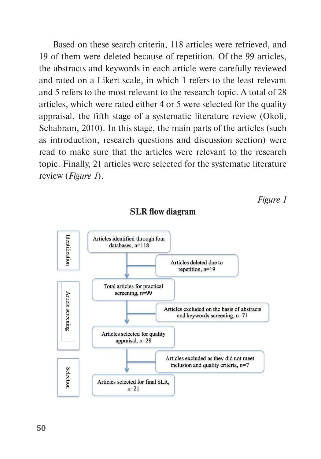Based on these search criteria, 118 articles were retrieved, and 19 of them were deleted because of repetition. Of the 99 articles, the abstracts and keywords in each article were carefully reviewed and rated on a Likert scale, in which 1 refers to the least relevant and 5 refers to the most relevant to the research topic. A total of 28 articles, which were rated either 4 or 5 were selected for the quality appraisal, the fifth stage of a systematic literature review (Okoli, Schabram, 2010). In this stage, the main parts of the articles (such as introduction, research questions and discussion section) were read to make sure that the articles were relevant to the research topic. Finally, 21 articles were selected for the systematic literature review (*Figure 1*).

*Figure 1*



**SLR flow diagram**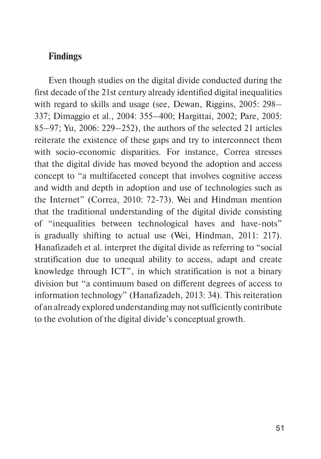# **Findings**

Even though studies on the digital divide conducted during the first decade of the 21st century already identified digital inequalities with regard to skills and usage (see, Dewan, Riggins, 2005: 298– 337; Dimaggio et al., 2004: 355–400; Hargittai, 2002; Pare, 2005: 85–97; Yu, 2006: 229–252), the authors of the selected 21 articles reiterate the existence of these gaps and try to interconnect them with socio-economic disparities. For instance, Correa stresses that the digital divide has moved beyond the adoption and access concept to "a multifaceted concept that involves cognitive access and width and depth in adoption and use of technologies such as the Internet" (Correa, 2010: 72-73). Wei and Hindman mention that the traditional understanding of the digital divide consisting of "inequalities between technological haves and have-nots" is gradually shifting to actual use (Wei, Hindman, 2011: 217). Hanafizadeh et al. interpret the digital divide as referring to "social stratification due to unequal ability to access, adapt and create knowledge through ICT", in which stratification is not a binary division but "a continuum based on different degrees of access to information technology" (Hanafizadeh, 2013: 34). This reiteration of an already explored understanding may not sufficiently contribute to the evolution of the digital divide's conceptual growth.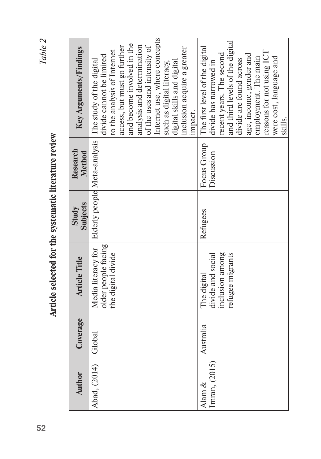Table 2 **52***Table 2*

Article selected for the systematic literature review **Article selected for the systematic literature review**

| <b>Author</b>           | Coverage  | <b>Article Title</b>                                                    | <b>Subjects</b><br>Study     | Research<br>Method        | Key Arguments/Findings                                                                                                                                                                                                                                                                                                                              |
|-------------------------|-----------|-------------------------------------------------------------------------|------------------------------|---------------------------|-----------------------------------------------------------------------------------------------------------------------------------------------------------------------------------------------------------------------------------------------------------------------------------------------------------------------------------------------------|
| Abad, (2014)            | Global    | older people facing<br>Media literacy for<br>the digital divide         | Elderly people Meta-analysis |                           | Internet use, where concepts<br>and become involved in the<br>analysis and determination<br>of the uses and intensity of<br>access, but must go further<br>inclusion acquire a greater<br>to the analysis of Internet<br>divide cannot be limited<br>The study of the digital<br>digital skills and digital<br>such as digital literacy,<br>impact. |
| Imran, (2015)<br>Alam & | Australia | inclusion among<br>refugee migrants<br>divide and social<br>The digital | Refugees                     | Focus Group<br>Discussion | and third levels of the digital<br>The first level of the digital<br>reasons for not using ICT<br>recent years. The second<br>age, income, gender and<br>were cost, language and<br>employment. The main<br>divide are found across<br>divide has narrowed in<br>skills.                                                                            |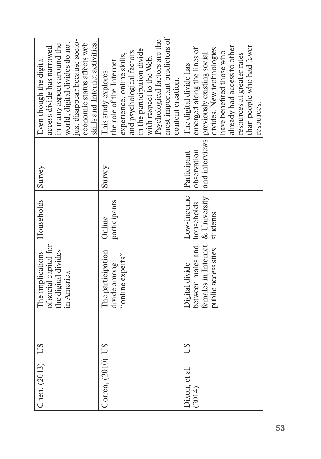| $ Chen, (2013)$ US |    | The implications                             | Households   | Survey      | Even though the digital                                  |
|--------------------|----|----------------------------------------------|--------------|-------------|----------------------------------------------------------|
|                    |    | of social capital for<br>the digital divides |              |             | in many aspects around the<br>access divide has narrowed |
|                    |    | in America                                   |              |             | world, digital divides do not                            |
|                    |    |                                              |              |             | just disappear because socio-                            |
|                    |    |                                              |              |             | economic status affects web                              |
|                    |    |                                              |              |             | skills and Internet activities.                          |
| Correa, (2010) US  |    | The participation                            | Online       | Survey      | This study explores                                      |
|                    |    | divide among                                 | participants |             | the role of the Internet                                 |
|                    |    | "online experts"                             |              |             | experience, online skills,                               |
|                    |    |                                              |              |             | and psychological factors                                |
|                    |    |                                              |              |             | in the participation divide                              |
|                    |    |                                              |              |             | with respect to the Web.                                 |
|                    |    |                                              |              |             | Psychological factors are the                            |
|                    |    |                                              |              |             | most important predictors of                             |
|                    |    |                                              |              |             | content creation.                                        |
| Dixon, et al.      | SO | Digital divide                               | Low-income   | Participant | The digital divide has                                   |
| (2014)             |    | between males and   households               |              | observation | emerged along the lines of                               |
|                    |    | females in Internet   & University           |              |             | and interviews previously existing social                |
|                    |    | public access sites                          | students     |             | divides. New technologies                                |
|                    |    |                                              |              |             | have benefited those who                                 |
|                    |    |                                              |              |             | already had access to other                              |
|                    |    |                                              |              |             | resources at greater rates                               |
|                    |    |                                              |              |             | than people who had fewer                                |
|                    |    |                                              |              |             | resources.                                               |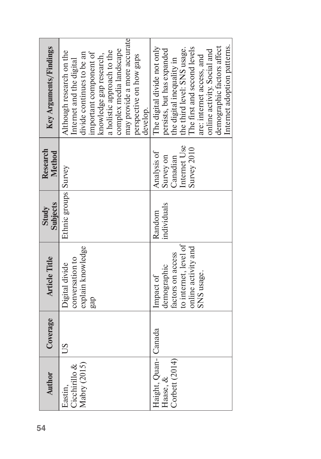| <b>Author</b>                                       | Coverage | <b>Article Title</b>                                                                                        | <b>Subjects</b><br>Study | Research<br><b>Method</b>                                           | Key Arguments/Findings                                                                                                                                                                                                                                                        |
|-----------------------------------------------------|----------|-------------------------------------------------------------------------------------------------------------|--------------------------|---------------------------------------------------------------------|-------------------------------------------------------------------------------------------------------------------------------------------------------------------------------------------------------------------------------------------------------------------------------|
| Mabry $(2015)$<br>Cicchirillo &<br>Eastin,          | SU       | explain knowledge<br>conversation to<br>Digital divide<br>gap                                               | Ethnic groups Survey     |                                                                     | may provide a more accurate<br>complex media landscape<br>a holistic approach to the<br>Although research on the<br>divide continues to be an<br>important component of<br>knowledge gap research,<br>perspective on how gaps<br>Internet and the digital<br>develop.         |
| Haight, Quan-  Canada<br>Corbett (2014)<br>Haase, & |          | to internet, level of<br>online activity and<br>factors on access<br>demographic<br>SNS usage.<br>Impact of | individuals<br>Random    | Internet Use<br>Survey 2010<br>Analysis of<br>Survey on<br>Canadian | Internet adoption patterns.<br>demographic factors affect<br>The digital divide not only<br>The first and second levels<br>the third level: SNS usage.<br>persists, but has expanded<br>online activity. Social and<br>are: internet access, and<br>the digital inequality in |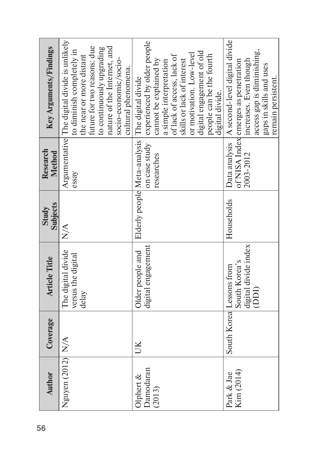| Key Arguments/Findings   | Argumentative The digital divide is unlikely<br>future for two reasons: due<br>nature of the Internet, and<br>to continuously upgrading<br>to diminish completely in<br>the near or more distant<br>socio-economic/socio-<br>cultural phenomena. | experienced by older people<br>digital engagement of old<br>or motivation. Low-level<br>people can be the fourth<br>of lack of access, lack of<br>cannot be explained by<br>skills or lack of interest<br>a simple interpretation<br>Elderly people Meta-analysis The digital divide<br>digital divide. | A second-level digital divide<br>access gap is diminishing,<br>increases. Even though<br>of NISA Index emerges as penetration<br>gaps in skills and uses<br>remain persistent. |
|--------------------------|--------------------------------------------------------------------------------------------------------------------------------------------------------------------------------------------------------------------------------------------------|---------------------------------------------------------------------------------------------------------------------------------------------------------------------------------------------------------------------------------------------------------------------------------------------------------|--------------------------------------------------------------------------------------------------------------------------------------------------------------------------------|
| Research<br>Method       | essay                                                                                                                                                                                                                                            | on case study<br>researches                                                                                                                                                                                                                                                                             | Data analysis<br>2003-2012                                                                                                                                                     |
| <b>Subjects</b><br>Study | $\frac{1}{N}$                                                                                                                                                                                                                                    |                                                                                                                                                                                                                                                                                                         | Households                                                                                                                                                                     |
| <b>Article Title</b>     | The digital divide<br>versus the digital<br>delay                                                                                                                                                                                                | digital engagement<br>Older people and                                                                                                                                                                                                                                                                  | digital divide index<br>South Korea's<br>South Korea Lessons from<br>(DDI)                                                                                                     |
| Coverage                 |                                                                                                                                                                                                                                                  | B                                                                                                                                                                                                                                                                                                       |                                                                                                                                                                                |
| <b>Author</b>            | Nguyen $(2012)$ N/A                                                                                                                                                                                                                              | Damodaran<br>Olphert $\&$<br>(2013)                                                                                                                                                                                                                                                                     | Kim (2014)<br>Park & Jae                                                                                                                                                       |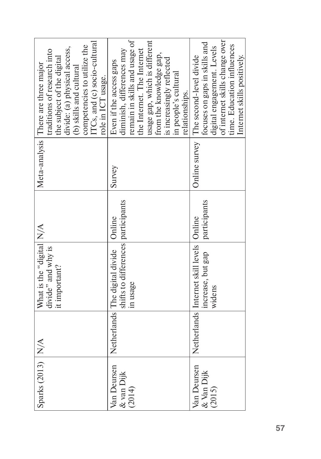| Sparks (2013) N/A                   | What is the "digital N/A<br>divide" and why is<br>it important?                           |              |        | TCs, and (c) socio-cultural<br>competencies to utilize the<br>divide: (a) physical access,<br>traditions of research into<br>the subject of the digital<br>Meta-analysis There are three major<br>(b) skills and cultural<br>role in ICT usage.        |
|-------------------------------------|-------------------------------------------------------------------------------------------|--------------|--------|--------------------------------------------------------------------------------------------------------------------------------------------------------------------------------------------------------------------------------------------------------|
| Van Deursen<br>& van Dijk<br>(2014) | shifts to differences participants<br>Netherlands The digital divide   Online<br>in usage |              | Survey | remain in skills and usage of<br>usage gap, which is different<br>diminish, differences may<br>the Internet. The Internet<br>from the knowledge gap,<br>is increasingly reflected<br>Even if the access gaps<br>in people's cultural<br>relationships. |
| Van Deursen<br>& Van Dijk<br>(2015) | Netherlands Internet skill levels   Online<br>increase, but gap<br>widens                 | participants |        | of internet skills change over<br>focuses on gaps in skills and<br>time. Education influences<br>digital engagement. Levels<br>Internet skills positively.<br>Online survey The second-level divide                                                    |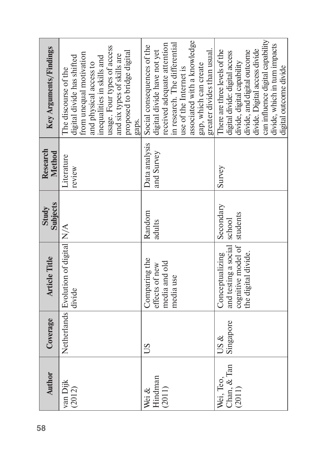| <b>Author</b>                      | Coverage          | <b>Article Title</b>                                                                 | <b>Subjects</b><br>Study        | Research<br>Method          | Key Arguments/Findings                                                                                                                                                                                                                                       |
|------------------------------------|-------------------|--------------------------------------------------------------------------------------|---------------------------------|-----------------------------|--------------------------------------------------------------------------------------------------------------------------------------------------------------------------------------------------------------------------------------------------------------|
| van Dijk<br>(2012)                 |                   | Netherlands Evolution of digital N/A<br>divide                                       |                                 | Literature<br>review        | usage. Four types of access<br>proposed to bridge digital<br>from unequal motivation<br>and six types of skills are<br>digital divide has shifted<br>inequalities in skills and<br>and physical access to<br>The discourse of the<br>gaps.                   |
| Hindman<br>(2011)<br>Wei &         | SO                | Comparing the<br>media and old<br>effects of new<br>media use                        | Random<br>adults                | Data analysis<br>and Survey | associated with a knowledge<br>in research. The differential<br>received adequate attention<br>Social consequences of the<br>greater divides than usual.<br>digital divide have not yet<br>gap, which can create<br>use of the Internet is                   |
| Chan, & Tan<br>Wei, Teo,<br>(2011) | Singapore<br>US & | and testing a social<br>cognitive model of<br>the digital divide.<br>Conceptualizing | Secondary<br>students<br>school | Survey                      | can influence digital capability<br>divide, which in turn impacts<br>divide. Digital access divide<br>There are three levels of the<br>digital divide: digital access<br>divide, and digital outcome<br>divide, digital capability<br>digital outcome divide |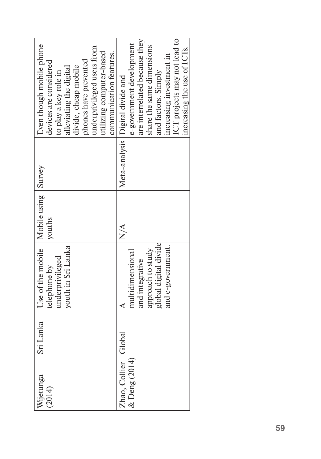| Even though mobile phone<br>underprivileged users from<br>utilizing computer-based<br>communication features.<br>phones have prevented<br>devices are considered<br>divide, cheap mobile<br>alleviating the digital<br>to play a key role in | are interrelated because they<br>ICT projects may not lead to<br>e-government development<br>share the same dimensions<br>ncreasing the use of ICTs.<br>increasing investment in<br>and factors. Simply<br>Meta-analysis Digital divide and |
|----------------------------------------------------------------------------------------------------------------------------------------------------------------------------------------------------------------------------------------------|---------------------------------------------------------------------------------------------------------------------------------------------------------------------------------------------------------------------------------------------|
|                                                                                                                                                                                                                                              |                                                                                                                                                                                                                                             |
| youths                                                                                                                                                                                                                                       | $\frac{\mathbf{A}}{\mathbf{A}}$                                                                                                                                                                                                             |
| Use of the mobile   Mobile using   Survey<br>youth in Sri Lanka<br>underprivileged<br>telephone by                                                                                                                                           | global digital divide<br>and e-government.<br>approach to study<br>multidimensional<br>and integrative                                                                                                                                      |
| Sri Lanka                                                                                                                                                                                                                                    | Global                                                                                                                                                                                                                                      |
| Wijetunga<br>(2014)                                                                                                                                                                                                                          | $&$ Deng (2014)<br>Zhao, Collier                                                                                                                                                                                                            |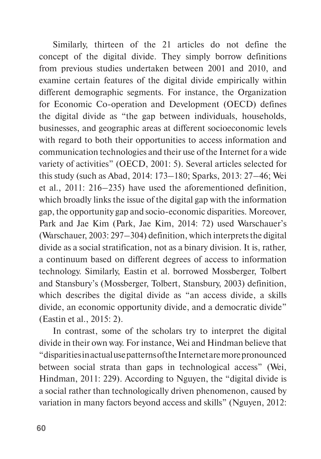Similarly, thirteen of the 21 articles do not define the concept of the digital divide. They simply borrow definitions from previous studies undertaken between 2001 and 2010, and examine certain features of the digital divide empirically within different demographic segments. For instance, the Organization for Economic Co-operation and Development (OECD) defines the digital divide as "the gap between individuals, households, businesses, and geographic areas at different socioeconomic levels with regard to both their opportunities to access information and communication technologies and their use of the Internet for a wide variety of activities" (OECD, 2001: 5). Several articles selected for this study (such as Abad, 2014: 173–180; Sparks, 2013: 27–46; Wei et al., 2011: 216–235) have used the aforementioned definition, which broadly links the issue of the digital gap with the information gap, the opportunity gap and socio-economic disparities. Moreover, Park and Jae Kim (Park, Jae Kim, 2014: 72) used Warschauer's (Warschauer, 2003: 297–304) definition, which interprets the digital divide as a social stratification, not as a binary division. It is, rather, a continuum based on different degrees of access to information technology. Similarly, Eastin et al. borrowed Mossberger, Tolbert and Stansbury's (Mossberger, Tolbert, Stansbury, 2003) definition, which describes the digital divide as "an access divide, a skills divide, an economic opportunity divide, and a democratic divide" (Eastin et al., 2015: 2).

In contrast, some of the scholars try to interpret the digital divide in their own way. For instance, Wei and Hindman believe that "disparities in actual use patterns of the Internet are more pronounced between social strata than gaps in technological access" (Wei, Hindman, 2011: 229). According to Nguyen, the "digital divide is a social rather than technologically driven phenomenon, caused by variation in many factors beyond access and skills" (Nguyen, 2012: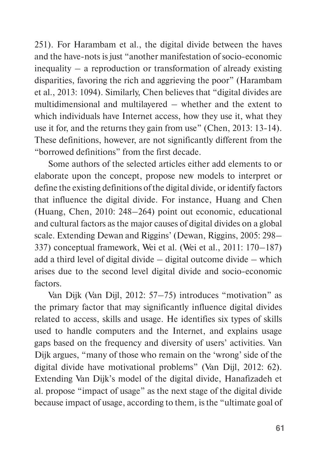251). For Harambam et al., the digital divide between the haves and the have-nots is just "another manifestation of socio-economic inequality – a reproduction or transformation of already existing disparities, favoring the rich and aggrieving the poor" (Harambam et al., 2013: 1094). Similarly, Chen believes that "digital divides are multidimensional and multilayered – whether and the extent to which individuals have Internet access, how they use it, what they use it for, and the returns they gain from use" (Chen, 2013: 13-14). These definitions, however, are not significantly different from the "borrowed definitions" from the first decade.

Some authors of the selected articles either add elements to or elaborate upon the concept, propose new models to interpret or define the existing definitions of the digital divide, or identify factors that influence the digital divide. For instance, Huang and Chen (Huang, Chen, 2010: 248–264) point out economic, educational and cultural factors as the major causes of digital divides on a global scale. Extending Dewan and Riggins' (Dewan, Riggins, 2005: 298– 337) conceptual framework, Wei et al. (Wei et al., 2011: 170–187) add a third level of digital divide – digital outcome divide – which arises due to the second level digital divide and socio-economic factors.

Van Dijk (Van Dijl, 2012: 57–75) introduces "motivation" as the primary factor that may significantly influence digital divides related to access, skills and usage. He identifies six types of skills used to handle computers and the Internet, and explains usage gaps based on the frequency and diversity of users' activities. Van Dijk argues, "many of those who remain on the 'wrong' side of the digital divide have motivational problems" (Van Dijl, 2012: 62). Extending Van Dijk's model of the digital divide, Hanafizadeh et al. propose "impact of usage" as the next stage of the digital divide because impact of usage, according to them, is the "ultimate goal of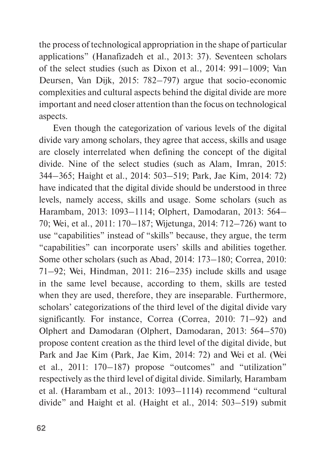the process of technological appropriation in the shape of particular applications" (Hanafizadeh et al., 2013: 37). Seventeen scholars of the select studies (such as Dixon et al., 2014: 991–1009; Van Deursen, Van Dijk, 2015: 782–797) argue that socio-economic complexities and cultural aspects behind the digital divide are more important and need closer attention than the focus on technological aspects.

Even though the categorization of various levels of the digital divide vary among scholars, they agree that access, skills and usage are closely interrelated when defining the concept of the digital divide. Nine of the select studies (such as Alam, Imran, 2015: 344–365; Haight et al., 2014: 503–519; Park, Jae Kim, 2014: 72) have indicated that the digital divide should be understood in three levels, namely access, skills and usage. Some scholars (such as Harambam, 2013: 1093–1114; Olphert, Damodaran, 2013: 564– 70; Wei, et al., 2011: 170–187; Wijetunga, 2014: 712–726) want to use "capabilities" instead of "skills" because, they argue, the term "capabilities" can incorporate users' skills and abilities together. Some other scholars (such as Abad, 2014: 173–180; Correa, 2010: 71–92; Wei, Hindman, 2011: 216–235) include skills and usage in the same level because, according to them, skills are tested when they are used, therefore, they are inseparable. Furthermore, scholars' categorizations of the third level of the digital divide vary significantly. For instance, Correa (Correa, 2010: 71–92) and Olphert and Damodaran (Olphert, Damodaran, 2013: 564–570) propose content creation as the third level of the digital divide, but Park and Jae Kim (Park, Jae Kim, 2014: 72) and Wei et al. (Wei et al., 2011: 170–187) propose "outcomes" and "utilization" respectively as the third level of digital divide. Similarly, Harambam et al. (Harambam et al., 2013: 1093–1114) recommend "cultural divide" and Haight et al. (Haight et al., 2014: 503–519) submit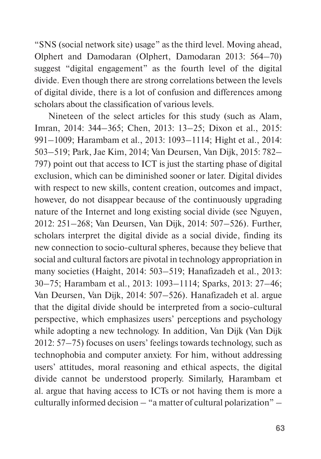"SNS (social network site) usage" as the third level. Moving ahead, Olphert and Damodaran (Olphert, Damodaran 2013: 564–70) suggest "digital engagement" as the fourth level of the digital divide. Even though there are strong correlations between the levels of digital divide, there is a lot of confusion and differences among scholars about the classification of various levels.

Nineteen of the select articles for this study (such as Alam, Imran, 2014: 344–365; Chen, 2013: 13–25; Dixon et al., 2015: 991–1009; Harambam et al., 2013: 1093–1114; Hight et al., 2014: 503–519; Park, Jae Kim, 2014; Van Deursen, Van Dijk, 2015: 782– 797) point out that access to ICT is just the starting phase of digital exclusion, which can be diminished sooner or later. Digital divides with respect to new skills, content creation, outcomes and impact, however, do not disappear because of the continuously upgrading nature of the Internet and long existing social divide (see Nguyen, 2012: 251–268; Van Deursen, Van Dijk, 2014: 507–526). Further, scholars interpret the digital divide as a social divide, finding its new connection to socio-cultural spheres, because they believe that social and cultural factors are pivotal in technology appropriation in many societies (Haight, 2014: 503–519; Hanafizadeh et al., 2013: 30–75; Harambam et al., 2013: 1093–1114; Sparks, 2013: 27–46; Van Deursen, Van Dijk, 2014: 507–526). Hanafizadeh et al. argue that the digital divide should be interpreted from a socio-cultural perspective, which emphasizes users' perceptions and psychology while adopting a new technology. In addition, Van Dijk (Van Dijk 2012: 57–75) focuses on users' feelings towards technology, such as technophobia and computer anxiety. For him, without addressing users' attitudes, moral reasoning and ethical aspects, the digital divide cannot be understood properly. Similarly, Harambam et al. argue that having access to ICTs or not having them is more a culturally informed decision – "a matter of cultural polarization" –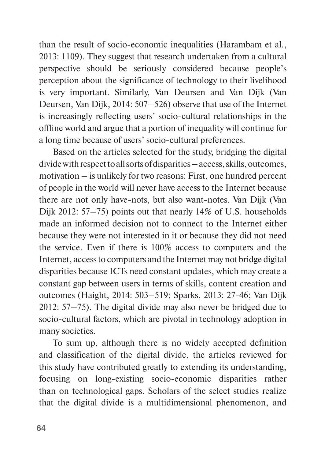than the result of socio-economic inequalities (Harambam et al., 2013: 1109). They suggest that research undertaken from a cultural perspective should be seriously considered because people's perception about the significance of technology to their livelihood is very important. Similarly, Van Deursen and Van Dijk (Van Deursen, Van Dijk, 2014: 507–526) observe that use of the Internet is increasingly reflecting users' socio-cultural relationships in the offline world and argue that a portion of inequality will continue for a long time because of users' socio-cultural preferences.

Based on the articles selected for the study, bridging the digital divide with respect to all sorts of disparities – access, skills, outcomes, motivation – is unlikely for two reasons: First, one hundred percent of people in the world will never have access to the Internet because there are not only have-nots, but also want-notes. Van Dijk (Van Dijk 2012: 57–75) points out that nearly 14% of U.S. households made an informed decision not to connect to the Internet either because they were not interested in it or because they did not need the service. Even if there is 100% access to computers and the Internet, access to computers and the Internet may not bridge digital disparities because ICTs need constant updates, which may create a constant gap between users in terms of skills, content creation and outcomes (Haight, 2014: 503–519; Sparks, 2013: 27-46; Van Dijk 2012: 57–75). The digital divide may also never be bridged due to socio-cultural factors, which are pivotal in technology adoption in many societies.

To sum up, although there is no widely accepted definition and classification of the digital divide, the articles reviewed for this study have contributed greatly to extending its understanding, focusing on long-existing socio-economic disparities rather than on technological gaps. Scholars of the select studies realize that the digital divide is a multidimensional phenomenon, and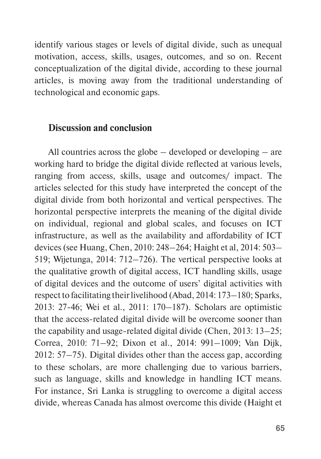identify various stages or levels of digital divide, such as unequal motivation, access, skills, usages, outcomes, and so on. Recent conceptualization of the digital divide, according to these journal articles, is moving away from the traditional understanding of technological and economic gaps.

# **Discussion and conclusion**

All countries across the globe – developed or developing – are working hard to bridge the digital divide reflected at various levels, ranging from access, skills, usage and outcomes/ impact. The articles selected for this study have interpreted the concept of the digital divide from both horizontal and vertical perspectives. The horizontal perspective interprets the meaning of the digital divide on individual, regional and global scales, and focuses on ICT infrastructure, as well as the availability and affordability of ICT devices (see Huang, Chen, 2010: 248–264; Haight et al, 2014: 503– 519; Wijetunga, 2014: 712–726). The vertical perspective looks at the qualitative growth of digital access, ICT handling skills, usage of digital devices and the outcome of users' digital activities with respect to facilitating their livelihood (Abad, 2014: 173–180; Sparks, 2013: 27-46; Wei et al., 2011: 170–187). Scholars are optimistic that the access-related digital divide will be overcome sooner than the capability and usage-related digital divide (Chen, 2013: 13–25; Correa, 2010: 71–92; Dixon et al., 2014: 991–1009; Van Dijk, 2012: 57–75). Digital divides other than the access gap, according to these scholars, are more challenging due to various barriers, such as language, skills and knowledge in handling ICT means. For instance, Sri Lanka is struggling to overcome a digital access divide, whereas Canada has almost overcome this divide (Haight et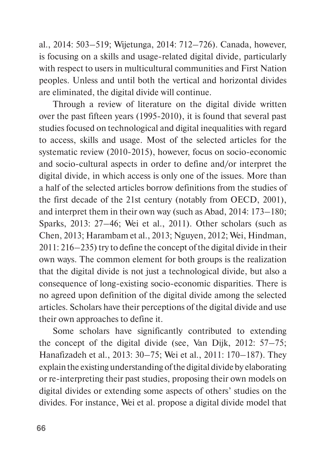al., 2014: 503–519; Wijetunga, 2014: 712–726). Canada, however, is focusing on a skills and usage-related digital divide, particularly with respect to users in multicultural communities and First Nation peoples. Unless and until both the vertical and horizontal divides are eliminated, the digital divide will continue.

Through a review of literature on the digital divide written over the past fifteen years (1995-2010), it is found that several past studies focused on technological and digital inequalities with regard to access, skills and usage. Most of the selected articles for the systematic review (2010-2015), however, focus on socio-economic and socio-cultural aspects in order to define and/or interpret the digital divide, in which access is only one of the issues. More than a half of the selected articles borrow definitions from the studies of the first decade of the 21st century (notably from OECD, 2001), and interpret them in their own way (such as Abad, 2014: 173–180; Sparks, 2013: 27–46; Wei et al., 2011). Other scholars (such as Chen, 2013; Harambam et al., 2013; Nguyen, 2012; Wei, Hindman, 2011: 216–235) try to define the concept of the digital divide in their own ways. The common element for both groups is the realization that the digital divide is not just a technological divide, but also a consequence of long-existing socio-economic disparities. There is no agreed upon definition of the digital divide among the selected articles. Scholars have their perceptions of the digital divide and use their own approaches to define it.

Some scholars have significantly contributed to extending the concept of the digital divide (see, Van Dijk, 2012: 57–75; Hanafizadeh et al., 2013: 30–75; Wei et al., 2011: 170–187). They explain the existing understanding of the digital divide by elaborating or re-interpreting their past studies, proposing their own models on digital divides or extending some aspects of others' studies on the divides. For instance, Wei et al. propose a digital divide model that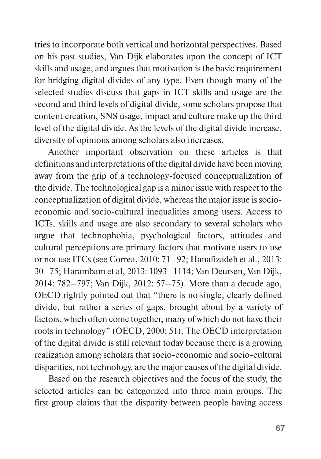tries to incorporate both vertical and horizontal perspectives. Based on his past studies, Van Dijk elaborates upon the concept of ICT skills and usage, and argues that motivation is the basic requirement for bridging digital divides of any type. Even though many of the selected studies discuss that gaps in ICT skills and usage are the second and third levels of digital divide, some scholars propose that content creation, SNS usage, impact and culture make up the third level of the digital divide. As the levels of the digital divide increase, diversity of opinions among scholars also increases.

Another important observation on these articles is that definitions and interpretations of the digital divide have been moving away from the grip of a technology-focused conceptualization of the divide. The technological gap is a minor issue with respect to the conceptualization of digital divide, whereas the major issue is socioeconomic and socio-cultural inequalities among users. Access to ICTs, skills and usage are also secondary to several scholars who argue that technophobia, psychological factors, attitudes and cultural perceptions are primary factors that motivate users to use or not use ITCs (see Correa, 2010: 71–92; Hanafizadeh et al., 2013: 30–75; Harambam et al, 2013: 1093–1114; Van Deursen, Van Dijk, 2014: 782–797; Van Dijk, 2012: 57–75). More than a decade ago, OECD rightly pointed out that "there is no single, clearly defined divide, but rather a series of gaps, brought about by a variety of factors, which often come together, many of which do not have their roots in technology" (OECD, 2000: 51). The OECD interpretation of the digital divide is still relevant today because there is a growing realization among scholars that socio-economic and socio-cultural disparities, not technology, are the major causes of the digital divide.

Based on the research objectives and the focus of the study, the selected articles can be categorized into three main groups. The first group claims that the disparity between people having access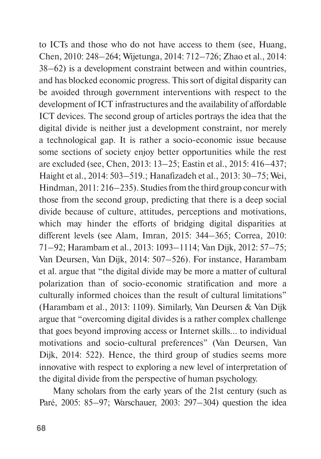to ICTs and those who do not have access to them (see, Huang, Chen, 2010: 248–264; Wijetunga, 2014: 712–726; Zhao et al., 2014: 38–62) is a development constraint between and within countries, and has blocked economic progress. This sort of digital disparity can be avoided through government interventions with respect to the development of ICT infrastructures and the availability of affordable ICT devices. The second group of articles portrays the idea that the digital divide is neither just a development constraint, nor merely a technological gap. It is rather a socio-economic issue because some sections of society enjoy better opportunities while the rest are excluded (see, Chen, 2013: 13–25; Eastin et al., 2015: 416–437; Haight et al., 2014: 503–519.; Hanafizadeh et al., 2013: 30–75; Wei, Hindman, 2011: 216–235). Studies from the third group concur with those from the second group, predicting that there is a deep social divide because of culture, attitudes, perceptions and motivations, which may hinder the efforts of bridging digital disparities at different levels (see Alam, Imran, 2015: 344–365; Correa, 2010: 71–92; Harambam et al., 2013: 1093–1114; Van Dijk, 2012: 57–75; Van Deursen, Van Dijk, 2014: 507–526). For instance, Harambam et al. argue that "the digital divide may be more a matter of cultural polarization than of socio-economic stratification and more a culturally informed choices than the result of cultural limitations" (Harambam et al., 2013: 1109). Similarly, Van Deursen & Van Dijk argue that "overcoming digital divides is a rather complex challenge that goes beyond improving access or Internet skills… to individual motivations and socio-cultural preferences" (Van Deursen, Van Dijk, 2014: 522). Hence, the third group of studies seems more innovative with respect to exploring a new level of interpretation of the digital divide from the perspective of human psychology.

Many scholars from the early years of the 21st century (such as Paré, 2005: 85–97; Warschauer, 2003: 297–304) question the idea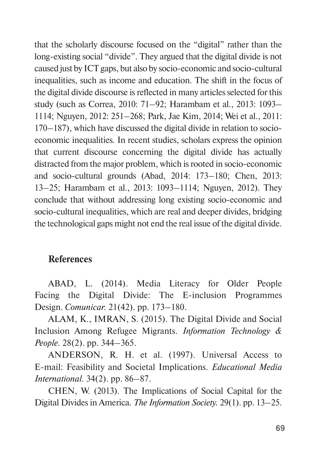that the scholarly discourse focused on the "digital" rather than the long-existing social "divide". They argued that the digital divide is not caused just by ICT gaps, but also by socio-economic and socio-cultural inequalities, such as income and education. The shift in the focus of the digital divide discourse is reflected in many articles selected for this study (such as Correa, 2010: 71–92; Harambam et al., 2013: 1093– 1114; Nguyen, 2012: 251–268; Park, Jae Kim, 2014; Wei et al., 2011: 170–187), which have discussed the digital divide in relation to socioeconomic inequalities. In recent studies, scholars express the opinion that current discourse concerning the digital divide has actually distracted from the major problem, which is rooted in socio-economic and socio-cultural grounds (Abad, 2014: 173–180; Chen, 2013: 13–25; Harambam et al., 2013: 1093–1114; Nguyen, 2012). They conclude that without addressing long existing socio-economic and socio-cultural inequalities, which are real and deeper divides, bridging the technological gaps might not end the real issue of the digital divide.

### **References**

ABAD, L. (2014). Media Literacy for Older People Facing the Digital Divide: The E-inclusion Programmes Design. *Comunicar.* 21(42). pp. 173–180.

ALAM, K., IMRAN, S. (2015). The Digital Divide and Social Inclusion Among Refugee Migrants. *Information Technology & People.* 28(2). pp. 344–365.

ANDERSON, R. H. et al. (1997). Universal Access to E-mail: Feasibility and Societal Implications. *Educational Media International.* 34(2). pp. 86–87.

CHEN, W. (2013). The Implications of Social Capital for the Digital Divides in America. *The Information Society.* 29(1). pp. 13–25.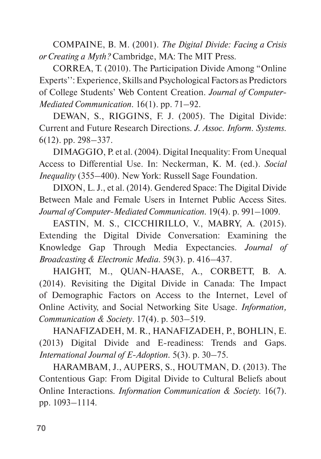COMPAINE, B. M. (2001). *The Digital Divide: Facing a Crisis or Creating a Myth?* Cambridge, MA: The MIT Press.

CORREA, T. (2010). The Participation Divide Among "Online Experts'': Experience, Skills and Psychological Factors as Predictors of College Students' Web Content Creation. *Journal of Computer-Mediated Communication.* 16(1). pp. 71–92.

DEWAN, S., RIGGINS, F. J. (2005). The Digital Divide: Current and Future Research Directions. *J. Assoc. Inform. Systems.*  6(12). pp. 298–337.

DIMAGGIO, P. et al. (2004). Digital Inequality: From Unequal Access to Differential Use. In: Neckerman, K. M. (ed.). *Social Inequality* (355–400). New York: Russell Sage Foundation.

DIXON, L. J., et al. (2014). Gendered Space: The Digital Divide Between Male and Female Users in Internet Public Access Sites. *Journal of Computer-Mediated Communication.* 19(4). p. 991–1009.

EASTIN, M. S., CICCHIRILLO, V., MABRY, A. (2015). Extending the Digital Divide Conversation: Examining the Knowledge Gap Through Media Expectancies. *Journal of Broadcasting & Electronic Media.* 59(3). p. 416–437.

HAIGHT, M., QUAN-HAASE, A., CORBETT, B. A. (2014). Revisiting the Digital Divide in Canada: The Impact of Demographic Factors on Access to the Internet, Level of Online Activity, and Social Networking Site Usage. *Information, Communication & Society*. 17(4). p. 503–519.

HANAFIZADEH, M. R., HANAFIZADEH, P., BOHLIN, E. (2013) Digital Divide and E-readiness: Trends and Gaps. *International Journal of E-Adoption.* 5(3). p. 30–75.

HARAMBAM, J., AUPERS, S., HOUTMAN, D. (2013). The Contentious Gap: From Digital Divide to Cultural Beliefs about Online Interactions. *Information Communication & Society.* 16(7). pp. 1093–1114.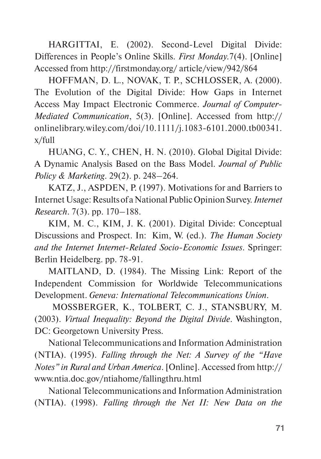HARGITTAI, E. (2002). Second-Level Digital Divide: Differences in People's Online Skills. *First Monday.*7(4). [Online] Accessed from http://firstmonday.org/ article/view/942/864

HOFFMAN, D. L., NOVAK, T. P., SCHLOSSER, A. (2000). The Evolution of the Digital Divide: How Gaps in Internet Access May Impact Electronic Commerce. *Journal of Computer-Mediated Communication*, 5(3). [Online]. Accessed from http:// onlinelibrary.wiley.com/doi/10.1111/j.1083-6101.2000.tb00341. x/full

HUANG, C. Y., CHEN, H. N. (2010). Global Digital Divide: A Dynamic Analysis Based on the Bass Model. *Journal of Public Policy & Marketing*. 29(2). p. 248–264.

KATZ, J., ASPDEN, P. (1997). Motivations for and Barriers to Internet Usage: Results of a National Public Opinion Survey. *Internet Research*. 7(3). pp. 170–188.

KIM, M. C., KIM, J. K. (2001). Digital Divide: Conceptual Discussions and Prospect. In: Kim, W. (ed.). *The Human Society and the Internet Internet-Related Socio-Economic Issues*. Springer: Berlin Heidelberg. pp. 78-91.

MAITLAND, D. (1984). The Missing Link: Report of the Independent Commission for Worldwide Telecommunications Development. *Geneva: International Telecommunications Union*.

 MOSSBERGER, K., TOLBERT, C. J., STANSBURY, M. (2003). *Virtual Inequality: Beyond the Digital Divide*. Washington, DC: Georgetown University Press.

National Telecommunications and Information Administration (NTIA). (1995). *Falling through the Net: A Survey of the "Have Notes" in Rural and Urban America*. [Online]. Accessed from http:// www.ntia.doc.gov/ntiahome/fallingthru.html

National Telecommunications and Information Administration (NTIA). (1998). *Falling through the Net II: New Data on the*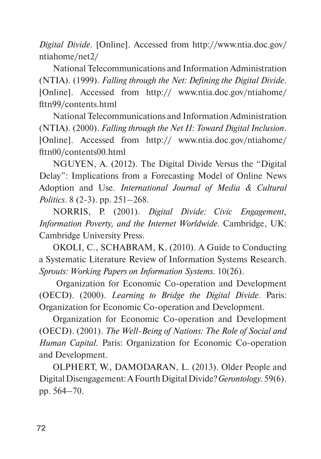*Digital Divide*. [Online]. Accessed from http://www.ntia.doc.gov/ ntiahome/net2/

National Telecommunications and Information Administration (NTIA). (1999). *Falling through the Net: Defining the Digital Divide*. [Online]. Accessed from http:// www.ntia.doc.gov/ntiahome/ fttn99/contents.html

National Telecommunications and Information Administration (NTIA). (2000). *Falling through the Net II: Toward Digital Inclusion*. [Online]. Accessed from http:// www.ntia.doc.gov/ntiahome/ fttn00/contents00.html

NGUYEN, A. (2012). The Digital Divide Versus the "Digital Delay": Implications from a Forecasting Model of Online News Adoption and Use. *International Journal of Media & Cultural Politics*. 8 (2-3). pp. 251–268.

NORRIS, P. (2001). *Digital Divide: Civic Engagement, Information Poverty, and the Internet Worldwide.* Cambridge, UK: Cambridge University Press.

OKOLI, C., SCHABRAM, K. (2010). A Guide to Conducting a Systematic Literature Review of Information Systems Research. *Sprouts: Working Papers on Information Systems.* 10(26).

 Organization for Economic Co-operation and Development (OECD). (2000). *Learning to Bridge the Digital Divide*. Paris: Organization for Economic Co-operation and Development.

Organization for Economic Co-operation and Development (OECD). (2001). *The Well-Being of Nations: The Role of Social and Human Capital.* Paris: Organization for Economic Co-operation and Development.

OLPHERT, W., DAMODARAN, L. (2013). Older People and Digital Disengagement: A Fourth Digital Divide? *Gerontology.* 59(6). pp. 564–70.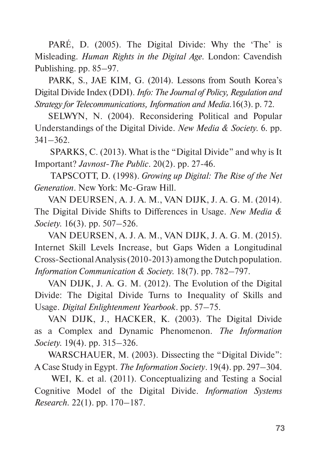PARÉ, D. (2005). The Digital Divide: Why the 'The' is Misleading. *Human Rights in the Digital Age.* London: Cavendish Publishing. pp. 85–97.

PARK, S., JAE KIM, G. (2014). Lessons from South Korea's Digital Divide Index (DDI). *Info: The Journal of Policy, Regulation and Strategy for Telecommunications, Information and Media.*16(3). p. 72.

SELWYN, N. (2004). Reconsidering Political and Popular Understandings of the Digital Divide. *New Media & Society.* 6*.* pp. 341–362.

 SPARKS, C. (2013). What is the "Digital Divide" and why is It Important? *Javnost-The Public*. 20(2). pp. 27-46.

 TAPSCOTT, D. (1998). *Growing up Digital: The Rise of the Net Generation*. New York: Mc-Graw Hill.

VAN DEURSEN, A. J. A. M., VAN DIJK, J. A. G. M. (2014). The Digital Divide Shifts to Differences in Usage. *New Media & Society.* 16(3). pp. 507–526.

VAN DEURSEN, A. J. A. M., VAN DIJK, J. A. G. M. (2015). Internet Skill Levels Increase, but Gaps Widen a Longitudinal Cross-Sectional Analysis (2010-2013) among the Dutch population. *Information Communication & Society.* 18(7). pp. 782–797.

VAN DIJK, J. A. G. M. (2012). The Evolution of the Digital Divide: The Digital Divide Turns to Inequality of Skills and Usage. *Digital Enlightenment Yearbook*. pp. 57–75.

VAN DIJK, J., HACKER, K. (2003). The Digital Divide as a Complex and Dynamic Phenomenon. *The Information Society.* 19(4). pp. 315–326.

WARSCHAUER, M. (2003). Dissecting the "Digital Divide": A Case Study in Egypt. *The Information Society*. 19(4). pp. 297–304.

 WEI, K. et al. (2011). Conceptualizing and Testing a Social Cognitive Model of the Digital Divide. *Information Systems Research.* 22(1). pp. 170–187.